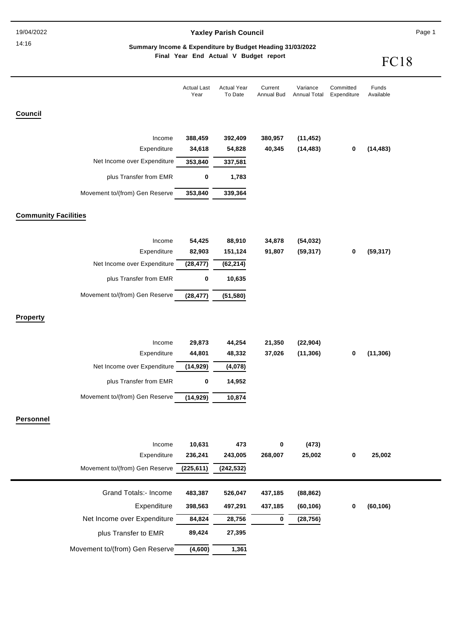#### 14:16

## **Yaxley Parish Council**

Page 1

### **Final Year End Actual V Budget report Summary Income & Expenditure by Budget Heading 31/03/2022**

FC<sub>18</sub>

|                                | <b>Actual Last</b><br>Year | <b>Actual Year</b><br>To Date | Current<br><b>Annual Bud</b> | Variance<br>Annual Total | Committed<br>Expenditure | Funds<br>Available |
|--------------------------------|----------------------------|-------------------------------|------------------------------|--------------------------|--------------------------|--------------------|
| Council                        |                            |                               |                              |                          |                          |                    |
|                                |                            |                               |                              |                          |                          |                    |
| Income<br>Expenditure          | 388,459<br>34,618          | 392,409<br>54,828             | 380,957<br>40,345            | (11, 452)<br>(14, 483)   | 0                        | (14, 483)          |
| Net Income over Expenditure    | 353,840                    | 337,581                       |                              |                          |                          |                    |
| plus Transfer from EMR         | 0                          | 1,783                         |                              |                          |                          |                    |
| Movement to/(from) Gen Reserve | 353,840                    | 339,364                       |                              |                          |                          |                    |
| <b>Community Facilities</b>    |                            |                               |                              |                          |                          |                    |
| Income                         | 54,425                     | 88,910                        | 34,878                       | (54, 032)                |                          |                    |
| Expenditure                    | 82,903                     | 151,124                       | 91,807                       | (59, 317)                | 0                        | (59, 317)          |
| Net Income over Expenditure    | (28, 477)                  | (62, 214)                     |                              |                          |                          |                    |
| plus Transfer from EMR         | $\pmb{0}$                  | 10,635                        |                              |                          |                          |                    |
| Movement to/(from) Gen Reserve | (28, 477)                  | (51, 580)                     |                              |                          |                          |                    |
| <b>Property</b>                |                            |                               |                              |                          |                          |                    |
| Income                         | 29,873                     | 44,254                        | 21,350                       | (22, 904)                |                          |                    |
| Expenditure                    | 44,801                     | 48,332                        | 37,026                       | (11, 306)                | 0                        | (11, 306)          |
| Net Income over Expenditure    | (14, 929)                  | (4,078)                       |                              |                          |                          |                    |
| plus Transfer from EMR         | 0                          | 14,952                        |                              |                          |                          |                    |
| Movement to/(from) Gen Reserve | (14, 929)                  | 10,874                        |                              |                          |                          |                    |
| <b>Personnel</b>               |                            |                               |                              |                          |                          |                    |
| Income                         | 10,631                     | 473                           | 0                            | (473)                    |                          |                    |
| Expenditure                    | 236,241                    | 243,005                       | 268,007                      | 25,002                   | $\mathbf 0$              | 25,002             |
| Movement to/(from) Gen Reserve | (225, 611)                 | (242, 532)                    |                              |                          |                          |                    |
| <b>Grand Totals:- Income</b>   | 483,387                    | 526,047                       | 437,185                      | (88, 862)                |                          |                    |
| Expenditure                    | 398,563                    | 497,291                       | 437,185                      | (60, 106)                | 0                        | (60, 106)          |
| Net Income over Expenditure    | 84,824                     | 28,756                        | 0                            | (28, 756)                |                          |                    |
| plus Transfer to EMR           | 89,424                     | 27,395                        |                              |                          |                          |                    |
| Movement to/(from) Gen Reserve | (4,600)                    | 1,361                         |                              |                          |                          |                    |
|                                |                            |                               |                              |                          |                          |                    |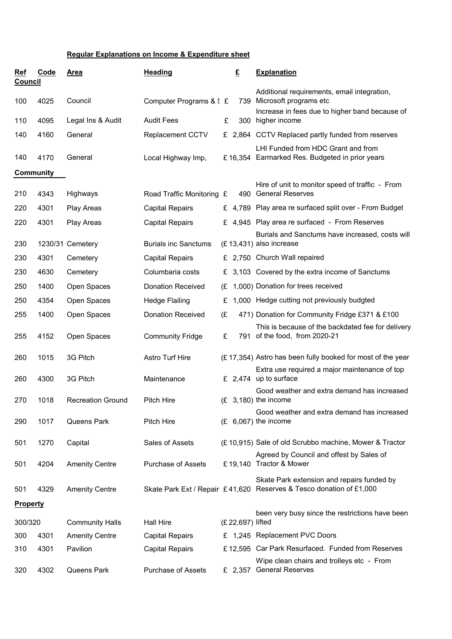## **Regular Explanations on Income & Expenditure sheet**

| Ref<br><b>Council</b> | Code | <b>Area</b>              | <b>Heading</b>              |    | £ |     | <b>Explanation</b>                                                                                                |
|-----------------------|------|--------------------------|-----------------------------|----|---|-----|-------------------------------------------------------------------------------------------------------------------|
|                       |      |                          |                             |    |   |     | Additional requirements, email integration,                                                                       |
| 100                   | 4025 | Council                  | Computer Programs & S £     |    |   |     | 739 Microsoft programs etc<br>Increase in fees due to higher band because of                                      |
| 110                   | 4095 | Legal Ins & Audit        | <b>Audit Fees</b>           | £  |   |     | 300 higher income                                                                                                 |
| 140                   | 4160 | General                  | <b>Replacement CCTV</b>     |    |   |     | £ 2,864 CCTV Replaced partly funded from reserves                                                                 |
| 140                   | 4170 | General                  | Local Highway Imp,          |    |   |     | LHI Funded from HDC Grant and from<br>£16,354 Earmarked Res. Budgeted in prior years                              |
| <b>Community</b>      |      |                          |                             |    |   |     |                                                                                                                   |
|                       |      |                          |                             |    |   |     | Hire of unit to monitor speed of traffic - From                                                                   |
| 210                   | 4343 | Highways                 | Road Traffic Monitoring £   |    |   | 490 | <b>General Reserves</b>                                                                                           |
| 220                   | 4301 | Play Areas               | <b>Capital Repairs</b>      |    |   |     | £ 4,789 Play area re surfaced split over - From Budget                                                            |
| 220                   | 4301 | <b>Play Areas</b>        | <b>Capital Repairs</b>      |    |   |     | £ 4,945 Play area re surfaced - From Reserves                                                                     |
| 230                   |      | 1230/31 Cemetery         | <b>Burials inc Sanctums</b> |    |   |     | Burials and Sanctums have increased, costs will<br>(£13,431) also increase                                        |
| 230                   | 4301 | Cemetery                 | <b>Capital Repairs</b>      |    |   |     | £ 2,750 Church Wall repaired                                                                                      |
| 230                   | 4630 | Cemetery                 | Columbaria costs            | £  |   |     | 3,103 Covered by the extra income of Sanctums                                                                     |
| 250                   | 1400 | Open Spaces              | <b>Donation Received</b>    | (£ |   |     | 1,000) Donation for trees received                                                                                |
| 250                   | 4354 | Open Spaces              | <b>Hedge Flailing</b>       | £  |   |     | 1,000 Hedge cutting not previously budgted                                                                        |
| 255                   | 1400 | Open Spaces              | <b>Donation Received</b>    | (£ |   |     | 471) Donation for Community Fridge £371 & £100                                                                    |
| 255                   | 4152 | Open Spaces              | <b>Community Fridge</b>     | £  |   |     | This is because of the backdated fee for delivery<br>791 of the food, from 2020-21                                |
| 260                   | 1015 | 3G Pitch                 | Astro Turf Hire             |    |   |     | (£17,354) Astro has been fully booked for most of the year                                                        |
| 260                   | 4300 | 3G Pitch                 | Maintenance                 |    |   |     | Extra use required a major maintenance of top<br>£ $2,474$ up to surface                                          |
| 270                   | 1018 | <b>Recreation Ground</b> | <b>Pitch Hire</b>           |    |   |     | Good weather and extra demand has increased<br>$(E \ 3,180)$ the income                                           |
| 290                   | 1017 | <b>Queens Park</b>       | Pitch Hire                  |    |   |     | Good weather and extra demand has increased<br>$(E 6,067)$ the income                                             |
|                       |      |                          |                             |    |   |     |                                                                                                                   |
| 501                   | 1270 | Capital                  | Sales of Assets             |    |   |     | (£10,915) Sale of old Scrubbo machine, Mower & Tractor                                                            |
| 501                   | 4204 | <b>Amenity Centre</b>    | <b>Purchase of Assets</b>   |    |   |     | Agreed by Council and offest by Sales of<br>£19,140 Tractor & Mower                                               |
| 501                   | 4329 | <b>Amenity Centre</b>    |                             |    |   |     | Skate Park extension and repairs funded by<br>Skate Park Ext / Repair £41,620 Reserves & Tesco donation of £1,000 |
| <b>Property</b>       |      |                          |                             |    |   |     |                                                                                                                   |
| 300/320               |      | <b>Community Halls</b>   | <b>Hall Hire</b>            |    |   |     | been very busy since the restrictions have been<br>(£ 22,697) lifted                                              |
| 300                   | 4301 | <b>Amenity Centre</b>    | <b>Capital Repairs</b>      |    |   |     | £ 1,245 Replacement PVC Doors                                                                                     |
| 310                   | 4301 | Pavilion                 | <b>Capital Repairs</b>      |    |   |     | £12,595 Car Park Resurfaced. Funded from Reserves                                                                 |
| 320                   | 4302 | Queens Park              | <b>Purchase of Assets</b>   |    |   |     | Wipe clean chairs and trolleys etc - From<br>£ 2,357 General Reserves                                             |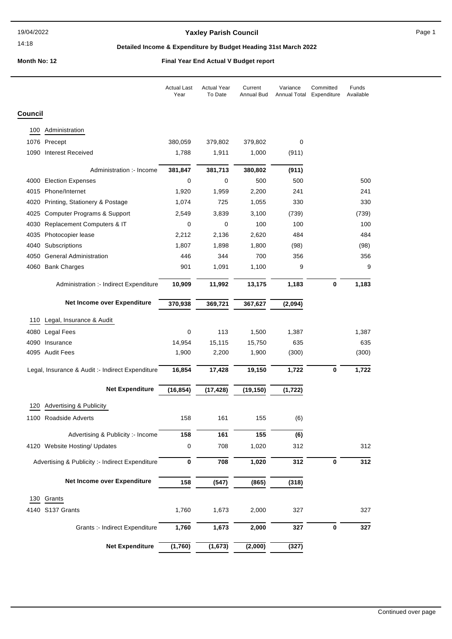### 14:18

## **Yaxley Parish Council Page 1**

## **Detailed Income & Expenditure by Budget Heading 31st March 2022**

|         |                                                  | <b>Actual Last</b><br>Year | <b>Actual Year</b><br>To Date | Current<br>Annual Bud | Variance<br>Annual Total | Committed<br>Expenditure | Funds<br>Available |
|---------|--------------------------------------------------|----------------------------|-------------------------------|-----------------------|--------------------------|--------------------------|--------------------|
| Council |                                                  |                            |                               |                       |                          |                          |                    |
| 100     | Administration                                   |                            |                               |                       |                          |                          |                    |
|         | 1076 Precept                                     | 380,059                    | 379,802                       | 379,802               | 0                        |                          |                    |
|         | 1090 Interest Received                           | 1,788                      | 1,911                         | 1,000                 | (911)                    |                          |                    |
|         | Administration :- Income                         | 381,847                    | 381,713                       | 380,802               | (911)                    |                          |                    |
|         | 4000 Election Expenses                           | 0                          | 0                             | 500                   | 500                      |                          | 500                |
|         | 4015 Phone/Internet                              | 1,920                      | 1,959                         | 2,200                 | 241                      |                          | 241                |
|         | 4020 Printing, Stationery & Postage              | 1,074                      | 725                           | 1,055                 | 330                      |                          | 330                |
|         | 4025 Computer Programs & Support                 | 2,549                      | 3,839                         | 3,100                 | (739)                    |                          | (739)              |
| 4030    | Replacement Computers & IT                       | 0                          | 0                             | 100                   | 100                      |                          | 100                |
|         | 4035 Photocopier lease                           | 2,212                      | 2,136                         | 2,620                 | 484                      |                          | 484                |
|         | 4040 Subscriptions                               | 1,807                      | 1,898                         | 1,800                 | (98)                     |                          | (98)               |
|         | 4050 General Administration                      | 446                        | 344                           | 700                   | 356                      |                          | 356                |
|         | 4060 Bank Charges                                | 901                        | 1,091                         | 1,100                 | 9                        |                          | 9                  |
|         | Administration :- Indirect Expenditure           | 10,909                     | 11,992                        | 13,175                | 1,183                    | 0                        | 1,183              |
|         | Net Income over Expenditure                      | 370,938                    | 369,721                       | 367,627               | (2,094)                  |                          |                    |
| 110     | Legal, Insurance & Audit                         |                            |                               |                       |                          |                          |                    |
|         | 4080 Legal Fees                                  | 0                          | 113                           | 1,500                 | 1,387                    |                          | 1,387              |
|         | 4090 Insurance                                   | 14,954                     | 15,115                        | 15,750                | 635                      |                          | 635                |
|         | 4095 Audit Fees                                  | 1,900                      | 2,200                         | 1,900                 | (300)                    |                          | (300)              |
|         | Legal, Insurance & Audit :- Indirect Expenditure | 16,854                     | 17,428                        | 19,150                | 1,722                    | 0                        | 1,722              |
|         | <b>Net Expenditure</b>                           | (16, 854)                  | (17, 428)                     | (19, 150)             | (1, 722)                 |                          |                    |
| 120     | <b>Advertising &amp; Publicity</b>               |                            |                               |                       |                          |                          |                    |
|         | 1100 Roadside Adverts                            | 158                        | 161                           | 155                   | (6)                      |                          |                    |
|         | Advertising & Publicity :- Income                | 158                        | 161                           | 155                   | (6)                      |                          |                    |
|         | 4120 Website Hosting/ Updates                    | $\pmb{0}$                  | 708                           | 1,020                 | 312                      |                          | 312                |
|         | Advertising & Publicity :- Indirect Expenditure  | $\bf{0}$                   | 708                           | 1,020                 | 312                      | $\pmb{0}$                | 312                |
|         | Net Income over Expenditure                      | 158                        | (547)                         | (865)                 | (318)                    |                          |                    |
| 130     | Grants                                           |                            |                               |                       |                          |                          |                    |
|         | 4140 S137 Grants                                 | 1,760                      | 1,673                         | 2,000                 | 327                      |                          | 327                |
|         | Grants :- Indirect Expenditure                   | 1,760                      | 1,673                         | 2,000                 | 327                      | $\pmb{0}$                | 327                |
|         | <b>Net Expenditure</b>                           | (1,760)                    | (1,673)                       | (2,000)               | (327)                    |                          |                    |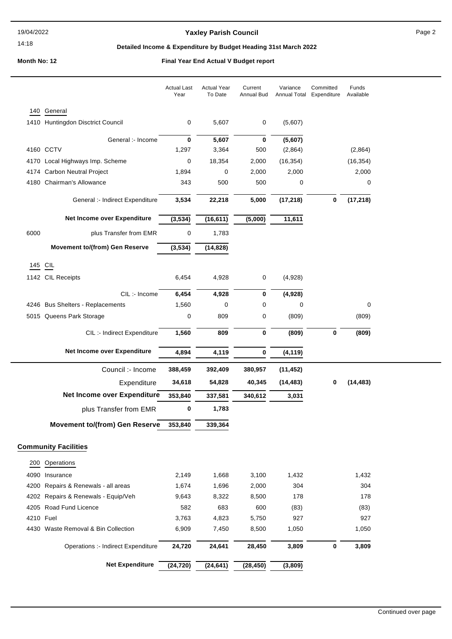### 14:18

## Yaxley Parish Council **Page 2** Page 2

## **Detailed Income & Expenditure by Budget Heading 31st March 2022**

|           |                                       | <b>Actual Last</b><br>Year | <b>Actual Year</b><br>To Date | Current<br>Annual Bud | Variance<br>Annual Total | Committed<br>Expenditure | Funds<br>Available |  |
|-----------|---------------------------------------|----------------------------|-------------------------------|-----------------------|--------------------------|--------------------------|--------------------|--|
| 140       | General                               |                            |                               |                       |                          |                          |                    |  |
|           | 1410 Huntingdon Disctrict Council     | 0                          | 5,607                         | 0                     | (5,607)                  |                          |                    |  |
|           | General :- Income                     | 0                          | 5,607                         | 0                     | (5,607)                  |                          |                    |  |
|           | 4160 CCTV                             | 1,297                      | 3,364                         | 500                   | (2,864)                  |                          | (2,864)            |  |
|           | 4170 Local Highways Imp. Scheme       | 0                          | 18,354                        | 2,000                 | (16, 354)                |                          | (16, 354)          |  |
|           | 4174 Carbon Neutral Project           | 1,894                      | 0                             | 2,000                 | 2,000                    |                          | 2,000              |  |
|           | 4180 Chairman's Allowance             | 343                        | 500                           | 500                   | 0                        |                          | 0                  |  |
|           | General :- Indirect Expenditure       | 3,534                      | 22,218                        | 5,000                 | (17, 218)                | 0                        | (17, 218)          |  |
|           | Net Income over Expenditure           | (3,534)                    | (16, 611)                     | (5,000)               | 11,611                   |                          |                    |  |
| 6000      | plus Transfer from EMR                | 0                          | 1,783                         |                       |                          |                          |                    |  |
|           | <b>Movement to/(from) Gen Reserve</b> | (3,534)                    | (14, 828)                     |                       |                          |                          |                    |  |
| 145 CIL   |                                       |                            |                               |                       |                          |                          |                    |  |
|           | 1142 CIL Receipts                     | 6,454                      | 4,928                         | 0                     | (4,928)                  |                          |                    |  |
|           |                                       |                            |                               |                       |                          |                          |                    |  |
|           | CIL:- Income                          | 6,454                      | 4,928                         | 0                     | (4,928)                  |                          |                    |  |
|           | 4246 Bus Shelters - Replacements      | 1,560                      | 0                             | 0                     | 0                        |                          | 0                  |  |
|           | 5015 Queens Park Storage              | 0                          | 809                           | 0                     | (809)                    |                          | (809)              |  |
|           | CIL :- Indirect Expenditure           | 1,560                      | 809                           | 0                     | (809)                    | 0                        | (809)              |  |
|           | Net Income over Expenditure           | 4,894                      | 4,119                         | 0                     | (4, 119)                 |                          |                    |  |
|           | Council :- Income                     | 388,459                    | 392,409                       | 380,957               | (11, 452)                |                          |                    |  |
|           | Expenditure                           | 34,618                     | 54,828                        | 40,345                | (14, 483)                | 0                        | (14, 483)          |  |
|           | Net Income over Expenditure           | 353,840                    | 337,581                       | 340,612               | 3,031                    |                          |                    |  |
|           | plus Transfer from EMR                | 0                          | 1,783                         |                       |                          |                          |                    |  |
|           | <b>Movement to/(from) Gen Reserve</b> | 353,840                    | 339,364                       |                       |                          |                          |                    |  |
|           | <b>Community Facilities</b>           |                            |                               |                       |                          |                          |                    |  |
| 200       | Operations                            |                            |                               |                       |                          |                          |                    |  |
| 4090      | Insurance                             | 2,149                      | 1,668                         | 3,100                 | 1,432                    |                          | 1,432              |  |
| 4200      | Repairs & Renewals - all areas        | 1,674                      | 1,696                         | 2,000                 | 304                      |                          | 304                |  |
|           | 4202 Repairs & Renewals - Equip/Veh   | 9,643                      | 8,322                         | 8,500                 | 178                      |                          | 178                |  |
| 4205      | Road Fund Licence                     | 582                        | 683                           | 600                   | (83)                     |                          | (83)               |  |
| 4210 Fuel |                                       | 3,763                      | 4,823                         | 5,750                 | 927                      |                          | 927                |  |
|           | 4430 Waste Removal & Bin Collection   | 6,909                      | 7,450                         | 8,500                 | 1,050                    |                          | 1,050              |  |
|           | Operations :- Indirect Expenditure    | 24,720                     | 24,641                        | 28,450                | 3,809                    | 0                        | 3,809              |  |
|           | <b>Net Expenditure</b>                | (24, 720)                  | (24, 641)                     | (28, 450)             | (3,809)                  |                          |                    |  |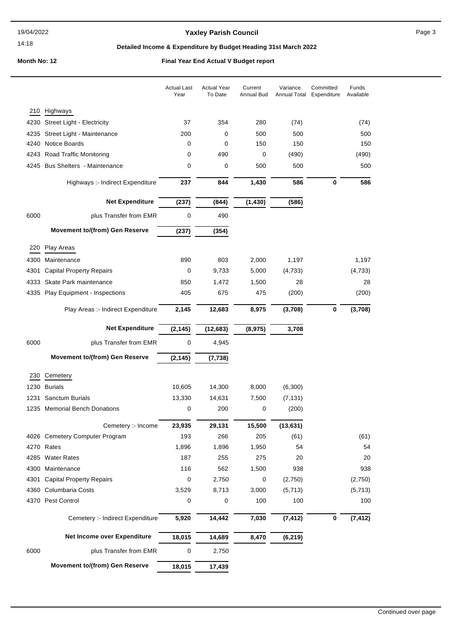## Yaxley Parish Council **Page 3** Page 3

## **Detailed Income & Expenditure by Budget Heading 31st March 2022**

|      |                                       | <b>Actual Last</b><br>Year | <b>Actual Year</b><br>To Date | Current<br>Annual Bud | Variance<br>Annual Total | Committed<br>Expenditure | Funds<br>Available |
|------|---------------------------------------|----------------------------|-------------------------------|-----------------------|--------------------------|--------------------------|--------------------|
| 210  | Highways                              |                            |                               |                       |                          |                          |                    |
| 4230 | Street Light - Electricity            | 37                         | 354                           | 280                   | (74)                     |                          | (74)               |
| 4235 | Street Light - Maintenance            | 200                        | 0                             | 500                   | 500                      |                          | 500                |
| 4240 | Notice Boards                         | 0                          | 0                             | 150                   | 150                      |                          | 150                |
| 4243 | Road Traffic Monitoring               | 0                          | 490                           | 0                     | (490)                    |                          | (490)              |
| 4245 | <b>Bus Shelters - Maintenance</b>     | 0                          | 0                             | 500                   | 500                      |                          | 500                |
|      | Highways :- Indirect Expenditure      | 237                        | 844                           | 1,430                 | 586                      | 0                        | 586                |
|      | <b>Net Expenditure</b>                | (237)                      | (844)                         | (1, 430)              | (586)                    |                          |                    |
| 6000 | plus Transfer from EMR                | 0                          | 490                           |                       |                          |                          |                    |
|      | <b>Movement to/(from) Gen Reserve</b> | (237)                      | (354)                         |                       |                          |                          |                    |
| 220  | Play Areas                            |                            |                               |                       |                          |                          |                    |
| 4300 | Maintenance                           | 890                        | 803                           | 2,000                 | 1,197                    |                          | 1,197              |
| 4301 | <b>Capital Property Repairs</b>       | 0                          | 9,733                         | 5,000                 | (4,733)                  |                          | (4, 733)           |
| 4333 | Skate Park maintenance                | 850                        | 1,472                         | 1,500                 | 28                       |                          | 28                 |
| 4335 | Play Equipment - Inspections          | 405                        | 675                           | 475                   | (200)                    |                          | (200)              |
|      | Play Areas :- Indirect Expenditure    | 2,145                      | 12,683                        | 8,975                 | (3,708)                  | 0                        | (3,708)            |
|      | <b>Net Expenditure</b>                | (2, 145)                   | (12, 683)                     | (8,975)               | 3,708                    |                          |                    |
| 6000 | plus Transfer from EMR                | 0                          | 4,945                         |                       |                          |                          |                    |
|      | <b>Movement to/(from) Gen Reserve</b> | (2, 145)                   | (7, 738)                      |                       |                          |                          |                    |
| 230  | Cemetery                              |                            |                               |                       |                          |                          |                    |
| 1230 | <b>Burials</b>                        | 10,605                     | 14,300                        | 8,000                 | (6,300)                  |                          |                    |
| 1231 | Sanctum Burials                       | 13,330                     | 14,631                        | 7,500                 | (7, 131)                 |                          |                    |
| 1235 | <b>Memorial Bench Donations</b>       | 0                          | 200                           | 0                     | (200)                    |                          |                    |
|      | Cemetery :- Income                    | 23,935                     | 29,131                        | 15,500                | (13, 631)                |                          |                    |
|      | 4026 Cemetery Computer Program        | 193                        | 266                           | 205                   | (61)                     |                          | (61)               |
|      | 4270 Rates                            | 1,896                      | 1,896                         | 1,950                 | 54                       |                          | 54                 |
| 4285 | <b>Water Rates</b>                    | 187                        | 255                           | 275                   | 20                       |                          | 20                 |
| 4300 | Maintenance                           | 116                        | 562                           | 1,500                 | 938                      |                          | 938                |
| 4301 | <b>Capital Property Repairs</b>       | 0                          | 2,750                         | 0                     | (2,750)                  |                          | (2,750)            |
| 4360 | Columbaria Costs                      | 3,529                      | 8,713                         | 3,000                 | (5, 713)                 |                          | (5,713)            |
| 4370 | Pest Control                          | 0                          | 0                             | 100                   | 100                      |                          | 100                |
|      | Cemetery :- Indirect Expenditure      | 5,920                      | 14,442                        | 7,030                 | (7, 412)                 | $\bf{0}$                 | (7, 412)           |
|      | Net Income over Expenditure           | 18,015                     | 14,689                        | 8,470                 | (6, 219)                 |                          |                    |
| 6000 | plus Transfer from EMR                | 0                          | 2,750                         |                       |                          |                          |                    |
|      | <b>Movement to/(from) Gen Reserve</b> | 18,015                     | 17,439                        |                       |                          |                          |                    |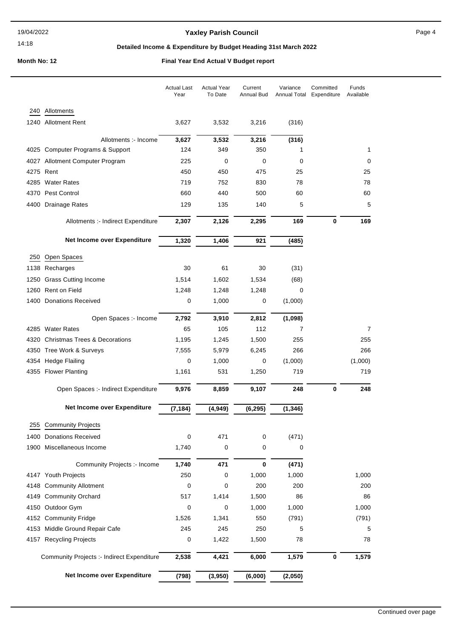## Yaxley Parish Council **Page 4** Page 4

## **Detailed Income & Expenditure by Budget Heading 31st March 2022**

|      |                                            | <b>Actual Last</b><br>Year | <b>Actual Year</b><br>To Date | Current<br>Annual Bud | Variance<br>Annual Total | Committed<br>Expenditure | Funds<br>Available |
|------|--------------------------------------------|----------------------------|-------------------------------|-----------------------|--------------------------|--------------------------|--------------------|
|      |                                            |                            |                               |                       |                          |                          |                    |
|      | 240 Allotments                             |                            |                               |                       |                          |                          |                    |
|      | 1240 Allotment Rent                        | 3,627                      | 3,532                         | 3,216                 | (316)                    |                          |                    |
|      | Allotments :- Income                       | 3,627                      | 3,532                         | 3,216                 | (316)                    |                          |                    |
|      | 4025 Computer Programs & Support           | 124                        | 349                           | 350                   | 1                        |                          | 1                  |
|      | 4027 Allotment Computer Program            | 225                        | 0                             | 0                     | 0                        |                          | 0                  |
|      | 4275 Rent                                  | 450                        | 450                           | 475                   | 25                       |                          | 25                 |
|      | 4285 Water Rates                           | 719                        | 752                           | 830                   | 78                       |                          | 78                 |
|      | 4370 Pest Control                          | 660                        | 440                           | 500                   | 60                       |                          | 60                 |
|      | 4400 Drainage Rates                        | 129                        | 135                           | 140                   | 5                        |                          | 5                  |
|      | Allotments :- Indirect Expenditure         | 2,307                      | 2,126                         | 2,295                 | 169                      | $\bf{0}$                 | 169                |
|      | <b>Net Income over Expenditure</b>         | 1,320                      | 1,406                         | 921                   | (485)                    |                          |                    |
|      |                                            |                            |                               |                       |                          |                          |                    |
| 250  | Open Spaces                                |                            |                               |                       |                          |                          |                    |
| 1138 | Recharges                                  | 30                         | 61                            | 30                    | (31)                     |                          |                    |
| 1250 | <b>Grass Cutting Income</b>                | 1,514                      | 1,602                         | 1,534                 | (68)                     |                          |                    |
| 1260 | Rent on Field                              | 1,248                      | 1,248                         | 1,248                 | 0                        |                          |                    |
|      | 1400 Donations Received                    | 0                          | 1,000                         | 0                     | (1,000)                  |                          |                    |
|      | Open Spaces :- Income                      | 2,792                      | 3,910                         | 2,812                 | (1,098)                  |                          |                    |
|      | 4285 Water Rates                           | 65                         | 105                           | 112                   | 7                        |                          | 7                  |
|      | 4320 Christmas Trees & Decorations         | 1,195                      | 1,245                         | 1,500                 | 255                      |                          | 255                |
|      | 4350 Tree Work & Surveys                   | 7,555                      | 5,979                         | 6,245                 | 266                      |                          | 266                |
|      | 4354 Hedge Flailing                        | 0                          | 1,000                         | 0                     | (1,000)                  |                          | (1,000)            |
|      | 4355 Flower Planting                       | 1,161                      | 531                           | 1,250                 | 719                      |                          | 719                |
|      | Open Spaces :- Indirect Expenditure        | 9,976                      | 8,859                         | 9,107                 | 248                      | 0                        | 248                |
|      | Net Income over Expenditure                | (7,184)                    | (4, 949)                      | (6, 295)              | (1, 346)                 |                          |                    |
|      | 255 Community Projects                     |                            |                               |                       |                          |                          |                    |
| 1400 | <b>Donations Received</b>                  | 0                          | 471                           | 0                     | (471)                    |                          |                    |
| 1900 | Miscellaneous Income                       | 1,740                      | 0                             | 0                     | 0                        |                          |                    |
|      |                                            |                            |                               |                       |                          |                          |                    |
|      | Community Projects :- Income               | 1,740                      | 471                           | 0                     | (471)                    |                          |                    |
|      | 4147 Youth Projects                        | 250                        | 0                             | 1,000                 | 1,000                    |                          | 1,000              |
|      | 4148 Community Allotment                   | 0                          | 0                             | 200                   | 200                      |                          | 200                |
|      | 4149 Community Orchard                     | 517                        | 1,414                         | 1,500                 | 86                       |                          | 86                 |
|      | 4150 Outdoor Gym                           | 0                          | 0                             | 1,000                 | 1,000                    |                          | 1,000              |
|      | 4152 Community Fridge                      | 1,526                      | 1,341                         | 550                   | (791)                    |                          | (791)              |
|      | 4153 Middle Ground Repair Cafe             | 245                        | 245                           | 250                   | 5                        |                          | 5                  |
|      | 4157 Recycling Projects                    | 0                          | 1,422                         | 1,500                 | 78                       |                          | 78                 |
|      | Community Projects :- Indirect Expenditure | 2,538                      | 4,421                         | 6,000                 | 1,579                    | $\bf{0}$                 | 1,579              |
|      | Net Income over Expenditure                | (798)                      | (3,950)                       | (6,000)               | (2,050)                  |                          |                    |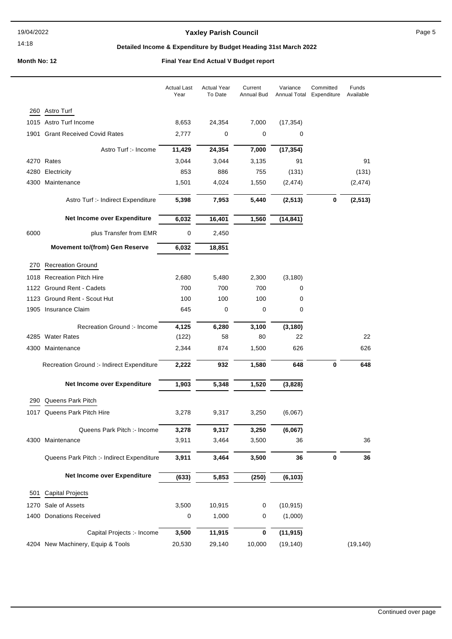## **Yaxley Parish Council Page 5**

## **Detailed Income & Expenditure by Budget Heading 31st March 2022**

|      |                                           | <b>Actual Last</b><br>Year | <b>Actual Year</b><br>To Date | Current<br><b>Annual Bud</b> | Variance<br>Annual Total | Committed<br>Expenditure | Funds<br>Available |
|------|-------------------------------------------|----------------------------|-------------------------------|------------------------------|--------------------------|--------------------------|--------------------|
|      | 260 Astro Turf                            |                            |                               |                              |                          |                          |                    |
|      | 1015 Astro Turf Income                    | 8,653                      | 24,354                        | 7,000                        | (17, 354)                |                          |                    |
| 1901 | <b>Grant Received Covid Rates</b>         | 2,777                      | 0                             | 0                            | 0                        |                          |                    |
|      | Astro Turf :- Income                      | 11,429                     | 24,354                        | 7,000                        | (17, 354)                |                          |                    |
|      | 4270 Rates                                | 3,044                      | 3,044                         | 3,135                        | 91                       |                          | 91                 |
| 4280 | Electricity                               | 853                        | 886                           | 755                          | (131)                    |                          | (131)              |
| 4300 | Maintenance                               | 1,501                      | 4,024                         | 1,550                        | (2, 474)                 |                          | (2, 474)           |
|      | Astro Turf :- Indirect Expenditure        | 5,398                      | 7,953                         | 5,440                        | (2, 513)                 | $\pmb{0}$                | (2, 513)           |
|      | Net Income over Expenditure               | 6,032                      | 16,401                        | 1,560                        | (14, 841)                |                          |                    |
| 6000 | plus Transfer from EMR                    | 0                          | 2,450                         |                              |                          |                          |                    |
|      | <b>Movement to/(from) Gen Reserve</b>     | 6,032                      | 18,851                        |                              |                          |                          |                    |
| 270  | <b>Recreation Ground</b>                  |                            |                               |                              |                          |                          |                    |
|      | 1018 Recreation Pitch Hire                | 2,680                      | 5,480                         | 2,300                        | (3, 180)                 |                          |                    |
|      | 1122 Ground Rent - Cadets                 | 700                        | 700                           | 700                          | 0                        |                          |                    |
| 1123 | Ground Rent - Scout Hut                   | 100                        | 100                           | 100                          | 0                        |                          |                    |
|      | 1905 Insurance Claim                      | 645                        | 0                             | 0                            | 0                        |                          |                    |
|      | Recreation Ground :- Income               | 4,125                      | 6,280                         | 3,100                        | (3, 180)                 |                          |                    |
|      | 4285 Water Rates                          | (122)                      | 58                            | 80                           | 22                       |                          | 22                 |
| 4300 | Maintenance                               | 2,344                      | 874                           | 1,500                        | 626                      |                          | 626                |
|      | Recreation Ground :- Indirect Expenditure | 2,222                      | 932                           | 1,580                        | 648                      | 0                        | 648                |
|      | Net Income over Expenditure               | 1,903                      | 5,348                         | 1,520                        | (3,828)                  |                          |                    |
|      | 290 Queens Park Pitch                     |                            |                               |                              |                          |                          |                    |
|      | 1017 Queens Park Pitch Hire               | 3,278                      | 9,317                         | 3,250                        | (6,067)                  |                          |                    |
|      | Queens Park Pitch :- Income               | 3,278                      | 9,317                         | 3,250                        | (6,067)                  |                          |                    |
| 4300 | Maintenance                               | 3,911                      | 3,464                         | 3,500                        | 36                       |                          | 36                 |
|      | Queens Park Pitch :- Indirect Expenditure | 3,911                      | 3,464                         | 3,500                        | 36                       | 0                        | 36                 |
|      | Net Income over Expenditure               | (633)                      | 5,853                         | (250)                        | (6, 103)                 |                          |                    |
| 501  | <b>Capital Projects</b>                   |                            |                               |                              |                          |                          |                    |
| 1270 | Sale of Assets                            | 3,500                      | 10,915                        | 0                            | (10, 915)                |                          |                    |
| 1400 | <b>Donations Received</b>                 | 0                          | 1,000                         | 0                            | (1,000)                  |                          |                    |
|      | Capital Projects : Income                 | 3,500                      | 11,915                        | 0                            | (11, 915)                |                          |                    |
|      | 4204 New Machinery, Equip & Tools         | 20,530                     | 29,140                        | 10,000                       | (19, 140)                |                          | (19, 140)          |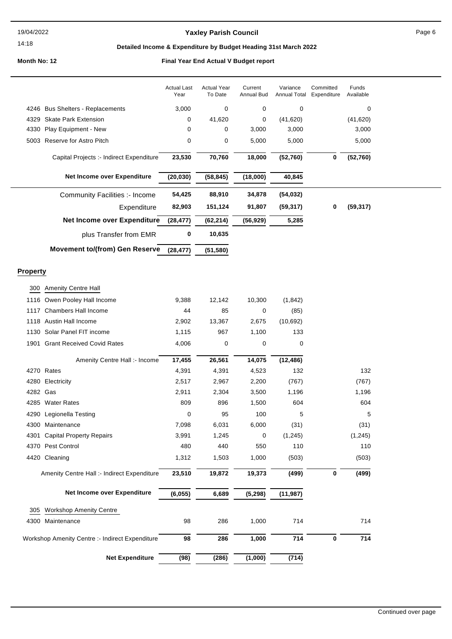#### 14:18

## Yaxley Parish Council **Page 6** Page 6

## **Detailed Income & Expenditure by Budget Heading 31st March 2022**

|                 |                                                 | <b>Actual Last</b><br>Year | <b>Actual Year</b><br>To Date | Current<br><b>Annual Bud</b> | Variance<br>Annual Total | Committed<br>Expenditure | Funds<br>Available |  |
|-----------------|-------------------------------------------------|----------------------------|-------------------------------|------------------------------|--------------------------|--------------------------|--------------------|--|
|                 | 4246 Bus Shelters - Replacements                | 3,000                      | 0                             | 0                            | 0                        |                          | 0                  |  |
| 4329            | <b>Skate Park Extension</b>                     | 0                          | 41,620                        | 0                            | (41, 620)                |                          | (41, 620)          |  |
| 4330            | Play Equipment - New                            | 0                          | 0                             | 3,000                        | 3,000                    |                          | 3,000              |  |
| 5003            | Reserve for Astro Pitch                         | 0                          | 0                             | 5,000                        | 5,000                    |                          | 5,000              |  |
|                 | Capital Projects :- Indirect Expenditure        | 23,530                     | 70,760                        | 18,000                       | (52, 760)                | 0                        | (52, 760)          |  |
|                 |                                                 |                            |                               |                              |                          |                          |                    |  |
|                 | Net Income over Expenditure                     | (20, 030)                  | (58, 845)                     | (18,000)                     | 40,845                   |                          |                    |  |
|                 | Community Facilities :- Income                  | 54,425                     | 88,910                        | 34,878                       | (54, 032)                |                          |                    |  |
|                 | Expenditure                                     | 82,903                     | 151,124                       | 91,807                       | (59, 317)                | 0                        | (59, 317)          |  |
|                 | Net Income over Expenditure                     | (28, 477)                  | (62, 214)                     | (56, 929)                    | 5,285                    |                          |                    |  |
|                 | plus Transfer from EMR                          | 0                          | 10,635                        |                              |                          |                          |                    |  |
|                 | <b>Movement to/(from) Gen Reserve</b>           | (28, 477)                  | (51, 580)                     |                              |                          |                          |                    |  |
|                 |                                                 |                            |                               |                              |                          |                          |                    |  |
| <b>Property</b> |                                                 |                            |                               |                              |                          |                          |                    |  |
| 300             | Amenity Centre Hall                             |                            |                               |                              |                          |                          |                    |  |
| 1116            | Owen Pooley Hall Income                         | 9,388                      | 12,142                        | 10,300                       | (1, 842)                 |                          |                    |  |
| 1117            | <b>Chambers Hall Income</b>                     | 44                         | 85                            | 0                            | (85)                     |                          |                    |  |
|                 | 1118 Austin Hall Income                         | 2,902                      | 13,367                        | 2,675                        | (10,692)                 |                          |                    |  |
|                 | 1130 Solar Panel FIT income                     | 1,115                      | 967                           | 1,100                        | 133                      |                          |                    |  |
| 1901            | <b>Grant Received Covid Rates</b>               | 4,006                      | 0                             | 0                            | 0                        |                          |                    |  |
|                 | Amenity Centre Hall :- Income                   | 17,455                     | 26,561                        | 14,075                       | (12, 486)                |                          |                    |  |
|                 | 4270 Rates                                      | 4,391                      | 4,391                         | 4,523                        | 132                      |                          | 132                |  |
| 4280            | Electricity                                     | 2,517                      | 2,967                         | 2,200                        | (767)                    |                          | (767)              |  |
| 4282            | Gas                                             | 2,911                      | 2,304                         | 3,500                        | 1,196                    |                          | 1,196              |  |
|                 | 4285 Water Rates                                | 809                        | 896                           | 1,500                        | 604                      |                          | 604                |  |
|                 | 4290 Legionella Testing                         | 0                          | 95                            | 100                          | 5                        |                          | 5                  |  |
|                 | 4300 Maintenance                                | 7,098                      | 6,031                         | 6,000                        | (31)                     |                          | (31)               |  |
|                 | 4301 Capital Property Repairs                   | 3,991                      | 1,245                         | 0                            | (1, 245)                 |                          | (1, 245)           |  |
|                 | 4370 Pest Control                               | 480                        | 440                           | 550                          | 110                      |                          | 110                |  |
|                 | 4420 Cleaning                                   | 1,312                      | 1,503                         | 1,000                        | (503)                    |                          | (503)              |  |
|                 | Amenity Centre Hall :- Indirect Expenditure     | 23,510                     | 19,872                        | 19,373                       | (499)                    | 0                        | (499)              |  |
|                 | Net Income over Expenditure                     | (6, 055)                   | 6,689                         | (5, 298)                     | (11, 987)                |                          |                    |  |
|                 |                                                 |                            |                               |                              |                          |                          |                    |  |
| 305             | <b>Workshop Amenity Centre</b>                  |                            |                               |                              |                          |                          |                    |  |
|                 | 4300 Maintenance                                | 98                         | 286                           | 1,000                        | 714                      |                          | 714                |  |
|                 | Workshop Amenity Centre :- Indirect Expenditure | 98                         | 286                           | 1,000                        | 714                      | $\pmb{0}$                | 714                |  |
|                 | <b>Net Expenditure</b>                          | (98)                       | (286)                         | (1,000)                      | (714)                    |                          |                    |  |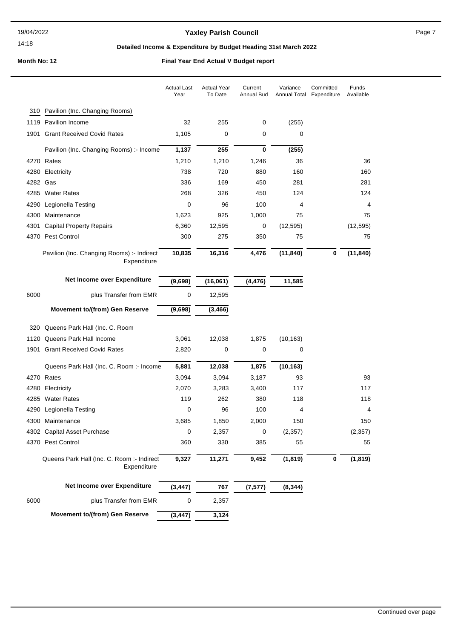### 14:18

## **Yaxley Parish Council Page 7**

## **Detailed Income & Expenditure by Budget Heading 31st March 2022**

|          |                                                           | <b>Actual Last</b><br>Year | <b>Actual Year</b><br>To Date | Current<br>Annual Bud | Variance<br><b>Annual Total</b> | Committed<br>Expenditure | Funds<br>Available |
|----------|-----------------------------------------------------------|----------------------------|-------------------------------|-----------------------|---------------------------------|--------------------------|--------------------|
|          | 310 Pavilion (Inc. Changing Rooms)                        |                            |                               |                       |                                 |                          |                    |
|          | 1119 Pavilion Income                                      | 32                         | 255                           | 0                     | (255)                           |                          |                    |
| 1901     | <b>Grant Received Covid Rates</b>                         | 1,105                      | 0                             | 0                     | 0                               |                          |                    |
|          | Pavilion (Inc. Changing Rooms) :- Income                  | 1,137                      | 255                           | 0                     | (255)                           |                          |                    |
|          | 4270 Rates                                                | 1,210                      | 1,210                         | 1,246                 | 36                              |                          | 36                 |
|          | 4280 Electricity                                          | 738                        | 720                           | 880                   | 160                             |                          | 160                |
| 4282 Gas |                                                           | 336                        | 169                           | 450                   | 281                             |                          | 281                |
|          | 4285 Water Rates                                          | 268                        | 326                           | 450                   | 124                             |                          | 124                |
| 4290     | Legionella Testing                                        | 0                          | 96                            | 100                   | 4                               |                          | 4                  |
| 4300     | Maintenance                                               | 1,623                      | 925                           | 1,000                 | 75                              |                          | 75                 |
| 4301     | <b>Capital Property Repairs</b>                           | 6,360                      | 12,595                        | 0                     | (12, 595)                       |                          | (12, 595)          |
|          | 4370 Pest Control                                         | 300                        | 275                           | 350                   | 75                              |                          | 75                 |
|          | Pavilion (Inc. Changing Rooms) :- Indirect<br>Expenditure | 10,835                     | 16,316                        | 4,476                 | (11, 840)                       | 0                        | (11, 840)          |
|          | Net Income over Expenditure                               | (9,698)                    | (16,061)                      | (4, 476)              | 11,585                          |                          |                    |
| 6000     | plus Transfer from EMR                                    | 0                          | 12,595                        |                       |                                 |                          |                    |
|          | <b>Movement to/(from) Gen Reserve</b>                     | (9,698)                    | (3, 466)                      |                       |                                 |                          |                    |
| 320      | Queens Park Hall (Inc. C. Room                            |                            |                               |                       |                                 |                          |                    |
| 1120     | Queens Park Hall Income                                   | 3,061                      | 12,038                        | 1,875                 | (10, 163)                       |                          |                    |
| 1901     | <b>Grant Received Covid Rates</b>                         | 2,820                      | 0                             | 0                     | 0                               |                          |                    |

|      | Queens Park Hall (Inc. C. Room: - Income                | 5,881    | 12,038 | 1,875    | (10, 163) |   |          |
|------|---------------------------------------------------------|----------|--------|----------|-----------|---|----------|
|      | 4270 Rates                                              | 3,094    | 3,094  | 3,187    | 93        |   | 93       |
|      | 4280 Electricity                                        | 2,070    | 3,283  | 3,400    | 117       |   | 117      |
|      | 4285 Water Rates                                        | 119      | 262    | 380      | 118       |   | 118      |
| 4290 | Legionella Testing                                      | 0        | 96     | 100      | 4         |   | 4        |
| 4300 | Maintenance                                             | 3,685    | 1,850  | 2,000    | 150       |   | 150      |
|      | 4302 Capital Asset Purchase                             | 0        | 2,357  | 0        | (2, 357)  |   | (2, 357) |
| 4370 | Pest Control                                            | 360      | 330    | 385      | 55        |   | 55       |
|      | Queens Park Hall (Inc. C. Room: Indirect<br>Expenditure | 9,327    | 11,271 | 9,452    | (1, 819)  | 0 | (1, 819) |
|      | Net Income over Expenditure                             | (3, 447) | 767    | (7, 577) | (8, 344)  |   |          |
| 6000 | plus Transfer from EMR                                  | 0        | 2,357  |          |           |   |          |
|      | <b>Movement to/(from) Gen Reserve</b>                   | (3, 447) | 3,124  |          |           |   |          |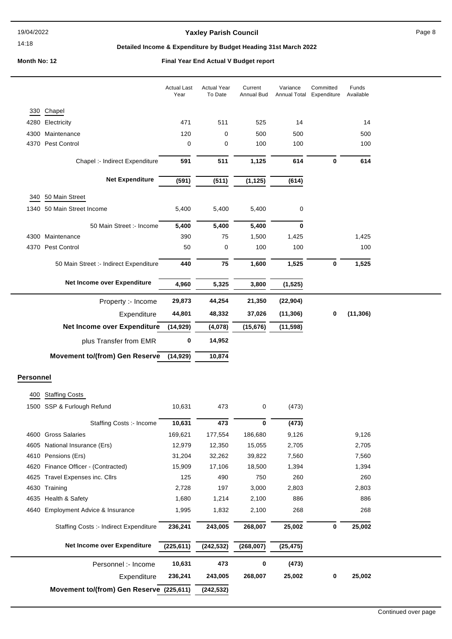## Yaxley Parish Council **Page 8** Page 8

## **Detailed Income & Expenditure by Budget Heading 31st March 2022**

|                  |                                                  | <b>Actual Last</b><br>Year | <b>Actual Year</b><br>To Date | Current<br>Annual Bud | Variance<br>Annual Total | Committed<br>Expenditure | Funds<br>Available |  |
|------------------|--------------------------------------------------|----------------------------|-------------------------------|-----------------------|--------------------------|--------------------------|--------------------|--|
|                  | 330 Chapel                                       |                            |                               |                       |                          |                          |                    |  |
| 4280             | Electricity                                      | 471                        | 511                           | 525                   | 14                       |                          | 14                 |  |
| 4300             | Maintenance                                      | 120                        | 0                             | 500                   | 500                      |                          | 500                |  |
| 4370             | Pest Control                                     | $\mathbf 0$                | 0                             | 100                   | 100                      |                          | 100                |  |
|                  | Chapel :- Indirect Expenditure                   | 591                        | 511                           | 1,125                 | 614                      | 0                        | 614                |  |
|                  |                                                  |                            |                               |                       |                          |                          |                    |  |
|                  | <b>Net Expenditure</b>                           | (591)                      | (511)                         | (1, 125)              | (614)                    |                          |                    |  |
| 340              | 50 Main Street                                   |                            |                               |                       |                          |                          |                    |  |
| 1340             | 50 Main Street Income                            | 5,400                      | 5,400                         | 5,400                 | 0                        |                          |                    |  |
|                  | 50 Main Street :- Income                         | 5,400                      | 5,400                         | 5,400                 | $\bf{0}$                 |                          |                    |  |
| 4300             | Maintenance                                      | 390                        | 75                            | 1,500                 | 1,425                    |                          | 1,425              |  |
| 4370             | Pest Control                                     | 50                         | 0                             | 100                   | 100                      |                          | 100                |  |
|                  | 50 Main Street :- Indirect Expenditure           | 440                        | 75                            | 1,600                 | 1,525                    | 0                        | 1,525              |  |
|                  |                                                  |                            |                               |                       |                          |                          |                    |  |
|                  | Net Income over Expenditure                      | 4,960                      | 5,325                         | 3,800                 | (1, 525)                 |                          |                    |  |
|                  | Property :- Income                               | 29,873                     | 44,254                        | 21,350                | (22, 904)                |                          |                    |  |
|                  | Expenditure                                      | 44,801                     | 48,332                        | 37,026                | (11, 306)                | 0                        | (11, 306)          |  |
|                  | Net Income over Expenditure                      | (14, 929)                  | (4,078)                       | (15, 676)             | (11, 598)                |                          |                    |  |
|                  | plus Transfer from EMR                           | 0                          | 14,952                        |                       |                          |                          |                    |  |
|                  | <b>Movement to/(from) Gen Reserve</b>            | (14, 929)                  | 10,874                        |                       |                          |                          |                    |  |
|                  |                                                  |                            |                               |                       |                          |                          |                    |  |
| <b>Personnel</b> |                                                  |                            |                               |                       |                          |                          |                    |  |
| 400              | <b>Staffing Costs</b>                            |                            |                               |                       |                          |                          |                    |  |
| 1500             | SSP & Furlough Refund                            | 10,631                     | 473                           | 0                     | (473)                    |                          |                    |  |
|                  |                                                  |                            |                               |                       |                          |                          |                    |  |
|                  | Staffing Costs :- Income                         | 10,631                     | 473                           | 0                     | (473)                    |                          |                    |  |
|                  | 4600 Gross Salaries                              | 169,621                    | 177,554                       | 186,680               | 9,126                    |                          | 9,126              |  |
| 4605             | National Insurance (Ers)                         | 12,979                     | 12,350                        | 15,055                | 2,705                    |                          | 2,705              |  |
| 4610             | Pensions (Ers)<br>Finance Officer - (Contracted) | 31,204<br>15,909           | 32,262<br>17,106              | 39,822                | 7,560<br>1,394           |                          | 7,560<br>1,394     |  |
| 4620             |                                                  |                            |                               | 18,500                |                          |                          |                    |  |
| 4625             | Travel Expenses inc. Cllrs<br>Training           | 125                        | 490<br>197                    | 750                   | 260                      |                          | 260                |  |
| 4630<br>4635     | Health & Safety                                  | 2,728<br>1,680             | 1,214                         | 3,000<br>2,100        | 2,803<br>886             |                          | 2,803<br>886       |  |
|                  |                                                  |                            |                               |                       |                          |                          |                    |  |
| 4640             | Employment Advice & Insurance                    | 1,995                      | 1,832                         | 2,100                 | 268                      |                          | 268                |  |
|                  | Staffing Costs :- Indirect Expenditure           | 236,241                    | 243,005                       | 268,007               | 25,002                   | $\bf{0}$                 | 25,002             |  |
|                  | Net Income over Expenditure                      | (225, 611)                 | (242, 532)                    | (268, 007)            | (25, 475)                |                          |                    |  |
|                  | Personnel :- Income                              | 10,631                     | 473                           | 0                     | (473)                    |                          |                    |  |
|                  | Expenditure                                      | 236,241                    | 243,005                       | 268,007               | 25,002                   | 0                        | 25,002             |  |
|                  | Movement to/(from) Gen Reserve (225,611)         |                            | (242, 532)                    |                       |                          |                          |                    |  |